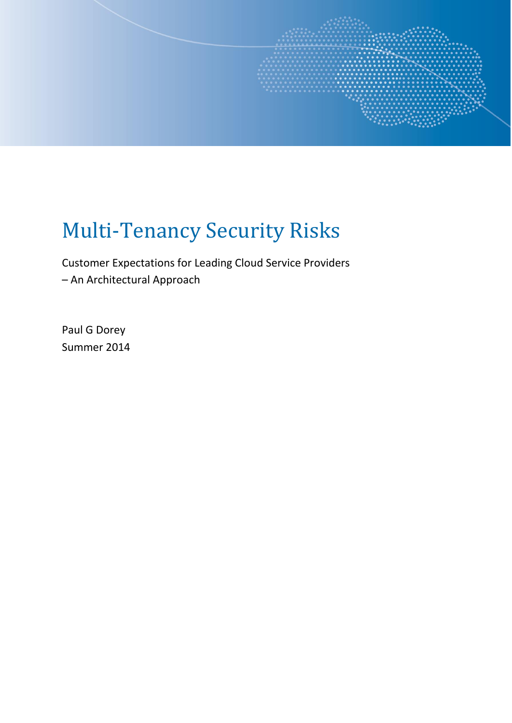

# Multi-Tenancy Security Risks

Customer Expectations for Leading Cloud Service Providers – An Architectural Approach

Paul G Dorey Summer 2014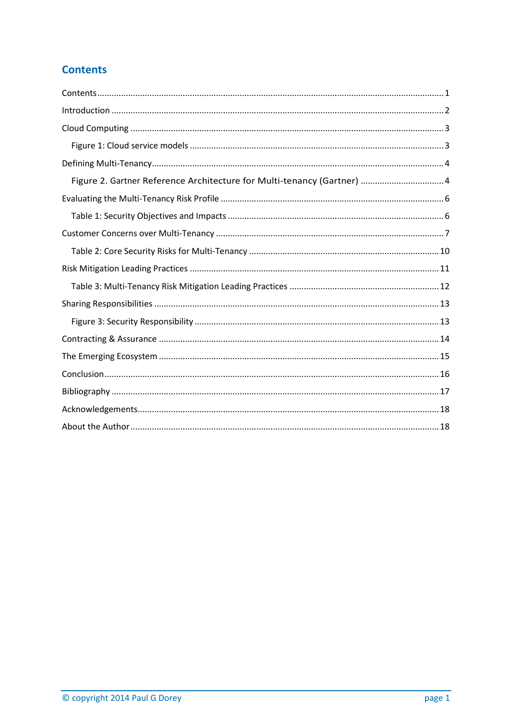# <span id="page-1-0"></span>**Contents**

| Figure 2. Gartner Reference Architecture for Multi-tenancy (Gartner)  4 |  |
|-------------------------------------------------------------------------|--|
|                                                                         |  |
|                                                                         |  |
|                                                                         |  |
|                                                                         |  |
|                                                                         |  |
|                                                                         |  |
|                                                                         |  |
|                                                                         |  |
|                                                                         |  |
|                                                                         |  |
|                                                                         |  |
|                                                                         |  |
|                                                                         |  |
|                                                                         |  |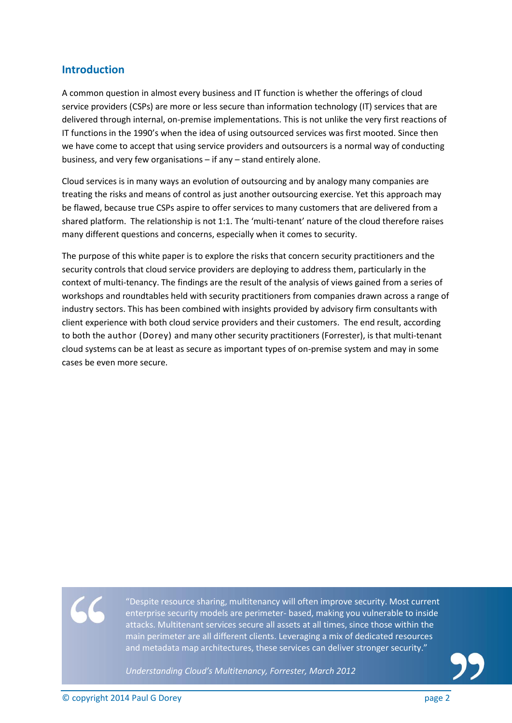#### <span id="page-2-0"></span>**Introduction**

A common question in almost every business and IT function is whether the offerings of cloud service providers (CSPs) are more or less secure than information technology (IT) services that are delivered through internal, on-premise implementations. This is not unlike the very first reactions of IT functions in the 1990's when the idea of using outsourced services was first mooted. Since then we have come to accept that using service providers and outsourcers is a normal way of conducting business, and very few organisations – if any – stand entirely alone.

Cloud services is in many ways an evolution of outsourcing and by analogy many companies are treating the risks and means of control as just another outsourcing exercise. Yet this approach may be flawed, because true CSPs aspire to offer services to many customers that are delivered from a shared platform. The relationship is not 1:1. The 'multi-tenant' nature of the cloud therefore raises many different questions and concerns, especially when it comes to security.

The purpose of this white paper is to explore the risks that concern security practitioners and the security controls that cloud service providers are deploying to address them, particularly in the context of multi-tenancy. The findings are the result of the analysis of views gained from a series of workshops and roundtables held with security practitioners from companies drawn across a range of industry sectors. This has been combined with insights provided by advisory firm consultants with client experience with both cloud service providers and their customers. The end result, according to both the author (Dorey) and many other security practitioners (Forrester), is that multi-tenant cloud systems can be at least as secure as important types of on-premise system and may in some cases be even more secure.

"Despite resource sharing, multitenancy will often improve security. Most current enterprise security models are perimeter- based, making you vulnerable to inside attacks. Multitenant services secure all assets at all times, since those within the main perimeter are all different clients. Leveraging a mix of dedicated resources and metadata map architectures, these services can deliver stronger security."

*Understanding Cloud's Multitenancy, Forrester, March 2012*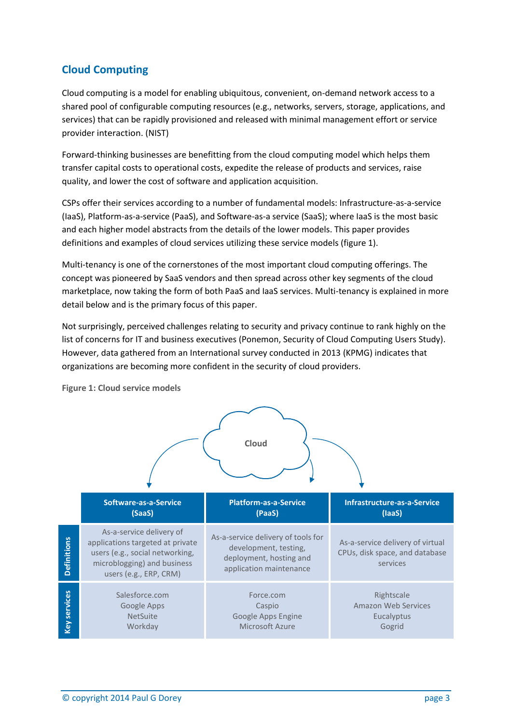# <span id="page-3-0"></span>**Cloud Computing**

Cloud computing is a model for enabling ubiquitous, convenient, on-demand network access to a shared pool of configurable computing resources (e.g., networks, servers, storage, applications, and services) that can be rapidly provisioned and released with minimal management effort or service provider interaction. (NIST)

Forward-thinking businesses are benefitting from the cloud computing model which helps them transfer capital costs to operational costs, expedite the release of products and services, raise quality, and lower the cost of software and application acquisition.

CSPs offer their services according to a number of fundamental models: Infrastructure-as-a-service (IaaS), Platform-as-a-service (PaaS), and Software-as-a service (SaaS); where IaaS is the most basic and each higher model abstracts from the details of the lower models. This paper provides definitions and examples of cloud services utilizing these service models (figure 1).

Multi-tenancy is one of the cornerstones of the most important cloud computing offerings. The concept was pioneered by SaaS vendors and then spread across other key segments of the cloud marketplace, now taking the form of both PaaS and IaaS services. Multi-tenancy is explained in more detail below and is the primary focus of this paper.

Not surprisingly, perceived challenges relating to security and privacy continue to rank highly on the list of concerns for IT and business executives (Ponemon, Security of Cloud Computing Users Study). However, data gathered from an International survey conducted in 2013 (KPMG) indicates that organizations are becoming more confident in the security of cloud providers.



<span id="page-3-1"></span>**Figure 1: Cloud service models**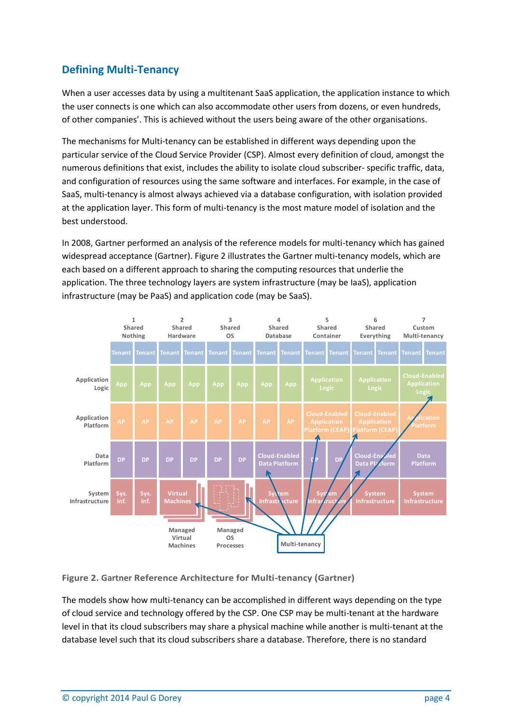# <span id="page-4-0"></span>**Defining Multi-Tenancy**

When a user accesses data by using a multitenant SaaS application, the application instance to which the user connects is one which can also accommodate other users from dozens, or even hundreds, of other companies'. This is achieved without the users being aware of the other organisations.

The mechanisms for Multi-tenancy can be established in different ways depending upon the particular service of the Cloud Service Provider (CSP). Almost every definition of cloud, amongst the numerous definitions that exist, includes the ability to isolate cloud subscriber- specific traffic, data, and configuration of resources using the same software and interfaces. For example, in the case of SaaS, multi-tenancy is almost always achieved via a database configuration, with isolation provided at the application layer. This form of multi-tenancy is the most mature model of isolation and the best understood.

In 2008, Gartner performed an analysis of the reference models for multi-tenancy which has gained widespread acceptance (Gartner). Figure 2 illustrates the Gartner multi-tenancy models, which are each based on a different approach to sharing the computing resources that underlie the application. The three technology layers are system infrastructure (may be IaaS), application infrastructure (may be PaaS) and application code (may be SaaS).



#### <span id="page-4-1"></span>**Figure 2. Gartner Reference Architecture for Multi-tenancy (Gartner)**

The models show how multi-tenancy can be accomplished in different ways depending on the type of cloud service and technology offered by the CSP. One CSP may be multi-tenant at the hardware level in that its cloud subscribers may share a physical machine while another is multi-tenant at the database level such that its cloud subscribers share a database. Therefore, there is no standard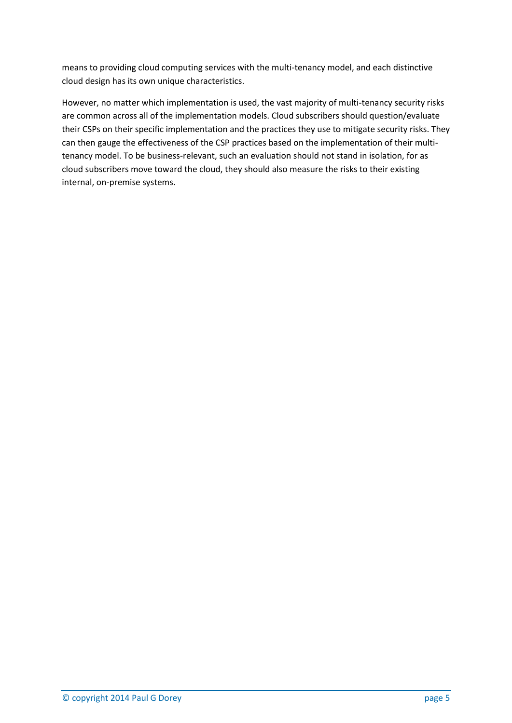means to providing cloud computing services with the multi-tenancy model, and each distinctive cloud design has its own unique characteristics.

However, no matter which implementation is used, the vast majority of multi-tenancy security risks are common across all of the implementation models. Cloud subscribers should question/evaluate their CSPs on their specific implementation and the practices they use to mitigate security risks. They can then gauge the effectiveness of the CSP practices based on the implementation of their multitenancy model. To be business-relevant, such an evaluation should not stand in isolation, for as cloud subscribers move toward the cloud, they should also measure the risks to their existing internal, on-premise systems.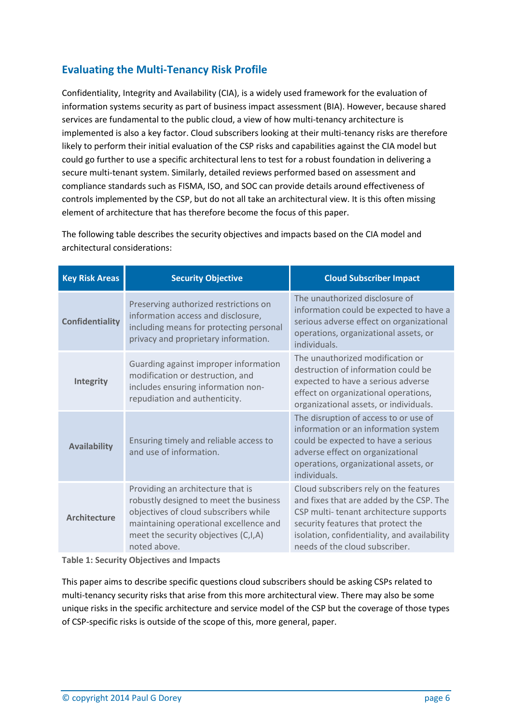# <span id="page-6-0"></span>**Evaluating the Multi-Tenancy Risk Profile**

Confidentiality, Integrity and Availability (CIA), is a widely used framework for the evaluation of information systems security as part of business impact assessment (BIA). However, because shared services are fundamental to the public cloud, a view of how multi-tenancy architecture is implemented is also a key factor. Cloud subscribers looking at their multi-tenancy risks are therefore likely to perform their initial evaluation of the CSP risks and capabilities against the CIA model but could go further to use a specific architectural lens to test for a robust foundation in delivering a secure multi-tenant system. Similarly, detailed reviews performed based on assessment and compliance standards such as FISMA, ISO, and SOC can provide details around effectiveness of controls implemented by the CSP, but do not all take an architectural view. It is this often missing element of architecture that has therefore become the focus of this paper.

**Key Risk Areas Security Objective Cloud Subscriber Impact Confidentiality** Preserving authorized restrictions on information access and disclosure, including means for protecting personal privacy and proprietary information. The unauthorized disclosure of information could be expected to have a serious adverse effect on organizational operations, organizational assets, or individuals. **Integrity** Guarding against improper information modification or destruction, and includes ensuring information nonrepudiation and authenticity. The unauthorized modification or destruction of information could be expected to have a serious adverse effect on organizational operations, organizational assets, or individuals. **Availability** Ensuring timely and reliable access to and use of information. The disruption of access to or use of information or an information system could be expected to have a serious adverse effect on organizational operations, organizational assets, or individuals. **Architecture** Providing an architecture that is robustly designed to meet the business objectives of cloud subscribers while maintaining operational excellence and meet the security objectives (C,I,A) noted above. Cloud subscribers rely on the features and fixes that are added by the CSP. The CSP multi- tenant architecture supports security features that protect the isolation, confidentiality, and availability needs of the cloud subscriber.

The following table describes the security objectives and impacts based on the CIA model and architectural considerations:

<span id="page-6-1"></span>**Table 1: Security Objectives and Impacts**

This paper aims to describe specific questions cloud subscribers should be asking CSPs related to multi-tenancy security risks that arise from this more architectural view. There may also be some unique risks in the specific architecture and service model of the CSP but the coverage of those types of CSP-specific risks is outside of the scope of this, more general, paper.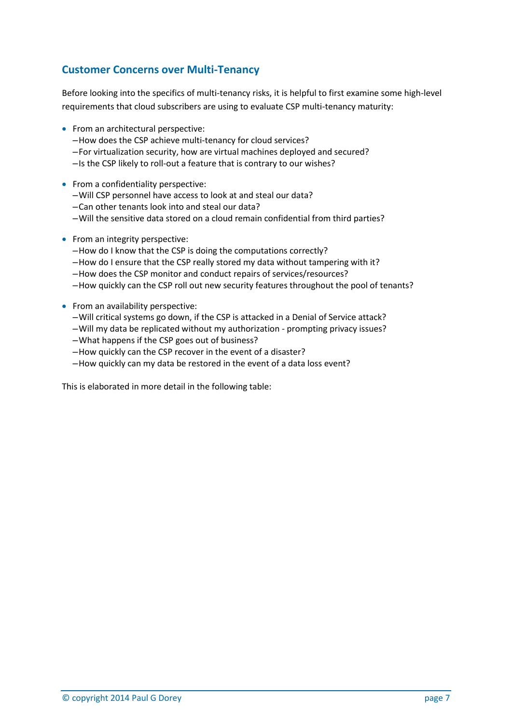# <span id="page-7-0"></span>**Customer Concerns over Multi-Tenancy**

Before looking into the specifics of multi-tenancy risks, it is helpful to first examine some high-level requirements that cloud subscribers are using to evaluate CSP multi-tenancy maturity:

- From an architectural perspective:
	- –How does the CSP achieve multi-tenancy for cloud services?
	- –For virtualization security, how are virtual machines deployed and secured?
	- –Is the CSP likely to roll-out a feature that is contrary to our wishes?
- From a confidentiality perspective:
	- –Will CSP personnel have access to look at and steal our data?
	- –Can other tenants look into and steal our data?
	- –Will the sensitive data stored on a cloud remain confidential from third parties?
- From an integrity perspective:
	- –How do I know that the CSP is doing the computations correctly?
	- –How do I ensure that the CSP really stored my data without tampering with it?
	- –How does the CSP monitor and conduct repairs of services/resources?
	- –How quickly can the CSP roll out new security features throughout the pool of tenants?
- From an availability perspective:
	- –Will critical systems go down, if the CSP is attacked in a Denial of Service attack?
	- –Will my data be replicated without my authorization prompting privacy issues?
	- –What happens if the CSP goes out of business?
	- –How quickly can the CSP recover in the event of a disaster?
	- –How quickly can my data be restored in the event of a data loss event?

This is elaborated in more detail in the following table: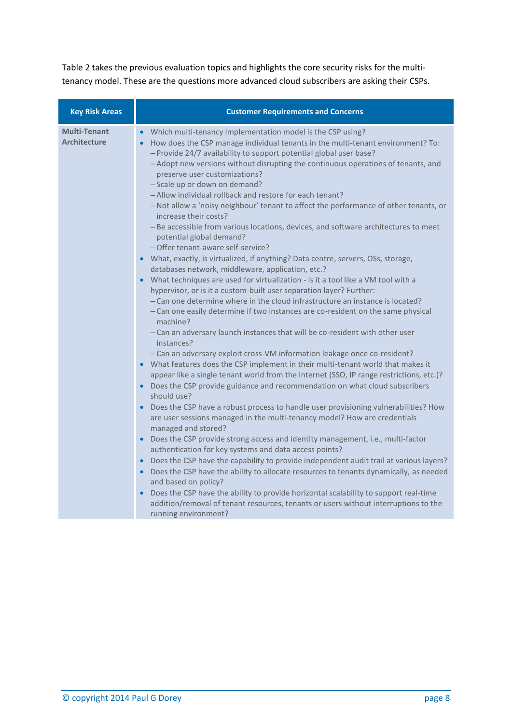Table 2 takes the previous evaluation topics and highlights the core security risks for the multitenancy model. These are the questions more advanced cloud subscribers are asking their CSPs.

| <b>Key Risk Areas</b>                      | <b>Customer Requirements and Concerns</b>                                                                                                                                                                                                                                                                                                                                                                                                                                                                                                                                                                                                                                                                                                                                                                                                                                                                                                                                                                                                                                                                                                                                                                                                                                                                                                                                                                                                                                                                                                                                                                                                                                                                                                                                                                                                                                                                                                                                                                                                                                                                                                                                                                                                                                                                                                                                                                                          |  |  |  |  |
|--------------------------------------------|------------------------------------------------------------------------------------------------------------------------------------------------------------------------------------------------------------------------------------------------------------------------------------------------------------------------------------------------------------------------------------------------------------------------------------------------------------------------------------------------------------------------------------------------------------------------------------------------------------------------------------------------------------------------------------------------------------------------------------------------------------------------------------------------------------------------------------------------------------------------------------------------------------------------------------------------------------------------------------------------------------------------------------------------------------------------------------------------------------------------------------------------------------------------------------------------------------------------------------------------------------------------------------------------------------------------------------------------------------------------------------------------------------------------------------------------------------------------------------------------------------------------------------------------------------------------------------------------------------------------------------------------------------------------------------------------------------------------------------------------------------------------------------------------------------------------------------------------------------------------------------------------------------------------------------------------------------------------------------------------------------------------------------------------------------------------------------------------------------------------------------------------------------------------------------------------------------------------------------------------------------------------------------------------------------------------------------------------------------------------------------------------------------------------------------|--|--|--|--|
| <b>Multi-Tenant</b><br><b>Architecture</b> | • Which multi-tenancy implementation model is the CSP using?<br>• How does the CSP manage individual tenants in the multi-tenant environment? To:<br>- Provide 24/7 availability to support potential global user base?<br>-Adopt new versions without disrupting the continuous operations of tenants, and<br>preserve user customizations?<br>-Scale up or down on demand?<br>-Allow individual rollback and restore for each tenant?<br>- Not allow a 'noisy neighbour' tenant to affect the performance of other tenants, or<br>increase their costs?<br>- Be accessible from various locations, devices, and software architectures to meet<br>potential global demand?<br>-Offer tenant-aware self-service?<br>• What, exactly, is virtualized, if anything? Data centre, servers, OSs, storage,<br>databases network, middleware, application, etc.?<br>• What techniques are used for virtualization - is it a tool like a VM tool with a<br>hypervisor, or is it a custom-built user separation layer? Further:<br>-Can one determine where in the cloud infrastructure an instance is located?<br>- Can one easily determine if two instances are co-resident on the same physical<br>machine?<br>- Can an adversary launch instances that will be co-resident with other user<br>instances?<br>- Can an adversary exploit cross-VM information leakage once co-resident?<br>• What features does the CSP implement in their multi-tenant world that makes it<br>appear like a single tenant world from the Internet (SSO, IP range restrictions, etc.)?<br>• Does the CSP provide guidance and recommendation on what cloud subscribers<br>should use?<br>• Does the CSP have a robust process to handle user provisioning vulnerabilities? How<br>are user sessions managed in the multi-tenancy model? How are credentials<br>managed and stored?<br>• Does the CSP provide strong access and identity management, i.e., multi-factor<br>authentication for key systems and data access points?<br>• Does the CSP have the capability to provide independent audit trail at various layers?<br>• Does the CSP have the ability to allocate resources to tenants dynamically, as needed<br>and based on policy?<br>Does the CSP have the ability to provide horizontal scalability to support real-time<br>addition/removal of tenant resources, tenants or users without interruptions to the<br>running environment? |  |  |  |  |
|                                            |                                                                                                                                                                                                                                                                                                                                                                                                                                                                                                                                                                                                                                                                                                                                                                                                                                                                                                                                                                                                                                                                                                                                                                                                                                                                                                                                                                                                                                                                                                                                                                                                                                                                                                                                                                                                                                                                                                                                                                                                                                                                                                                                                                                                                                                                                                                                                                                                                                    |  |  |  |  |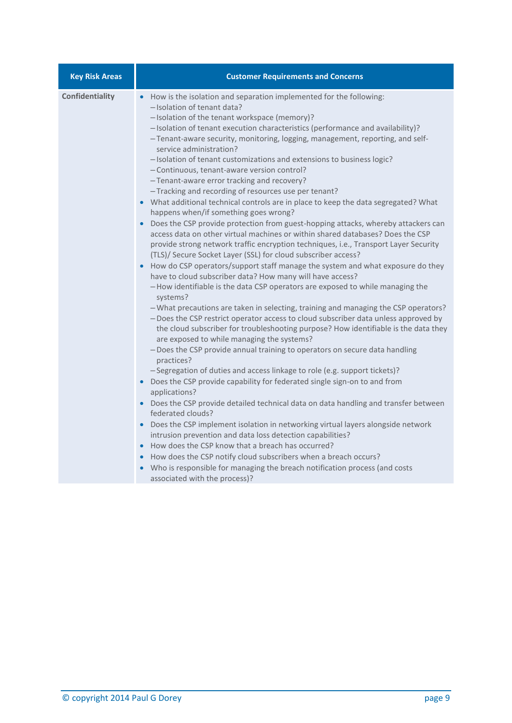| <b>Key Risk Areas</b> | <b>Customer Requirements and Concerns</b>                                                                                                                                                                                                                                                                                                                                                                                                                                                                                                                                                                                                                                                                                                                                                                                                                                                                                                                                                                                                                                                                                                                                                                                                                                                                                                                                                                                                                                                                                                                                                                                                                                                                                                                                                                                                                                                                                                                                                                                                                                                                                                                                                                                                                                                                                                                                                     |  |  |  |  |
|-----------------------|-----------------------------------------------------------------------------------------------------------------------------------------------------------------------------------------------------------------------------------------------------------------------------------------------------------------------------------------------------------------------------------------------------------------------------------------------------------------------------------------------------------------------------------------------------------------------------------------------------------------------------------------------------------------------------------------------------------------------------------------------------------------------------------------------------------------------------------------------------------------------------------------------------------------------------------------------------------------------------------------------------------------------------------------------------------------------------------------------------------------------------------------------------------------------------------------------------------------------------------------------------------------------------------------------------------------------------------------------------------------------------------------------------------------------------------------------------------------------------------------------------------------------------------------------------------------------------------------------------------------------------------------------------------------------------------------------------------------------------------------------------------------------------------------------------------------------------------------------------------------------------------------------------------------------------------------------------------------------------------------------------------------------------------------------------------------------------------------------------------------------------------------------------------------------------------------------------------------------------------------------------------------------------------------------------------------------------------------------------------------------------------------------|--|--|--|--|
| Confidentiality       | How is the isolation and separation implemented for the following:<br>-Isolation of tenant data?<br>-Isolation of the tenant workspace (memory)?<br>- Isolation of tenant execution characteristics (performance and availability)?<br>-Tenant-aware security, monitoring, logging, management, reporting, and self-<br>service administration?<br>- Isolation of tenant customizations and extensions to business logic?<br>-Continuous, tenant-aware version control?<br>-Tenant-aware error tracking and recovery?<br>-Tracking and recording of resources use per tenant?<br>• What additional technical controls are in place to keep the data segregated? What<br>happens when/if something goes wrong?<br>• Does the CSP provide protection from guest-hopping attacks, whereby attackers can<br>access data on other virtual machines or within shared databases? Does the CSP<br>provide strong network traffic encryption techniques, i.e., Transport Layer Security<br>(TLS)/ Secure Socket Layer (SSL) for cloud subscriber access?<br>How do CSP operators/support staff manage the system and what exposure do they<br>have to cloud subscriber data? How many will have access?<br>-How identifiable is the data CSP operators are exposed to while managing the<br>systems?<br>- What precautions are taken in selecting, training and managing the CSP operators?<br>- Does the CSP restrict operator access to cloud subscriber data unless approved by<br>the cloud subscriber for troubleshooting purpose? How identifiable is the data they<br>are exposed to while managing the systems?<br>-Does the CSP provide annual training to operators on secure data handling<br>practices?<br>-Segregation of duties and access linkage to role (e.g. support tickets)?<br>• Does the CSP provide capability for federated single sign-on to and from<br>applications?<br>• Does the CSP provide detailed technical data on data handling and transfer between<br>federated clouds?<br>Does the CSP implement isolation in networking virtual layers alongside network<br>intrusion prevention and data loss detection capabilities?<br>• How does the CSP know that a breach has occurred?<br>How does the CSP notify cloud subscribers when a breach occurs?<br>Who is responsible for managing the breach notification process (and costs<br>associated with the process)? |  |  |  |  |
|                       |                                                                                                                                                                                                                                                                                                                                                                                                                                                                                                                                                                                                                                                                                                                                                                                                                                                                                                                                                                                                                                                                                                                                                                                                                                                                                                                                                                                                                                                                                                                                                                                                                                                                                                                                                                                                                                                                                                                                                                                                                                                                                                                                                                                                                                                                                                                                                                                               |  |  |  |  |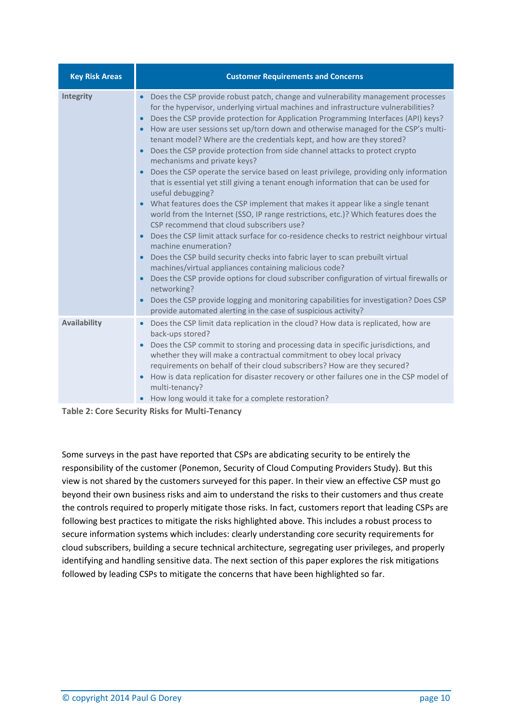| <b>Key Risk Areas</b> | <b>Customer Requirements and Concerns</b>                                                                                                                                                                                                                                                                                                                                                                                                                                                                                                                                                                                                                                                                                                                                                                                                                                                                                                                                                                                                                                                                                                                                                                                                                                                                                                                                                                                                                                                                                                                                                                                     |  |  |  |  |
|-----------------------|-------------------------------------------------------------------------------------------------------------------------------------------------------------------------------------------------------------------------------------------------------------------------------------------------------------------------------------------------------------------------------------------------------------------------------------------------------------------------------------------------------------------------------------------------------------------------------------------------------------------------------------------------------------------------------------------------------------------------------------------------------------------------------------------------------------------------------------------------------------------------------------------------------------------------------------------------------------------------------------------------------------------------------------------------------------------------------------------------------------------------------------------------------------------------------------------------------------------------------------------------------------------------------------------------------------------------------------------------------------------------------------------------------------------------------------------------------------------------------------------------------------------------------------------------------------------------------------------------------------------------------|--|--|--|--|
| Integrity             | Does the CSP provide robust patch, change and vulnerability management processes<br>$\bullet$<br>for the hypervisor, underlying virtual machines and infrastructure vulnerabilities?<br>Does the CSP provide protection for Application Programming Interfaces (API) keys?<br>$\bullet$<br>How are user sessions set up/torn down and otherwise managed for the CSP's multi-<br>$\bullet$<br>tenant model? Where are the credentials kept, and how are they stored?<br>Does the CSP provide protection from side channel attacks to protect crypto<br>$\bullet$<br>mechanisms and private keys?<br>Does the CSP operate the service based on least privilege, providing only information<br>$\bullet$<br>that is essential yet still giving a tenant enough information that can be used for<br>useful debugging?<br>What features does the CSP implement that makes it appear like a single tenant<br>$\bullet$<br>world from the Internet (SSO, IP range restrictions, etc.)? Which features does the<br>CSP recommend that cloud subscribers use?<br>Does the CSP limit attack surface for co-residence checks to restrict neighbour virtual<br>$\bullet$<br>machine enumeration?<br>Does the CSP build security checks into fabric layer to scan prebuilt virtual<br>$\bullet$<br>machines/virtual appliances containing malicious code?<br>Does the CSP provide options for cloud subscriber configuration of virtual firewalls or<br>$\bullet$<br>networking?<br>Does the CSP provide logging and monitoring capabilities for investigation? Does CSP<br>provide automated alerting in the case of suspicious activity? |  |  |  |  |
| <b>Availability</b>   | Does the CSP limit data replication in the cloud? How data is replicated, how are<br>$\bullet$<br>back-ups stored?<br>Does the CSP commit to storing and processing data in specific jurisdictions, and<br>whether they will make a contractual commitment to obey local privacy<br>requirements on behalf of their cloud subscribers? How are they secured?<br>How is data replication for disaster recovery or other failures one in the CSP model of<br>$\bullet$<br>multi-tenancy?<br>How long would it take for a complete restoration?                                                                                                                                                                                                                                                                                                                                                                                                                                                                                                                                                                                                                                                                                                                                                                                                                                                                                                                                                                                                                                                                                  |  |  |  |  |

<span id="page-10-0"></span>**Table 2: Core Security Risks for Multi-Tenancy**

Some surveys in the past have reported that CSPs are abdicating security to be entirely the responsibility of the customer (Ponemon, Security of Cloud Computing Providers Study). But this view is not shared by the customers surveyed for this paper. In their view an effective CSP must go beyond their own business risks and aim to understand the risks to their customers and thus create the controls required to properly mitigate those risks. In fact, customers report that leading CSPs are following best practices to mitigate the risks highlighted above. This includes a robust process to secure information systems which includes: clearly understanding core security requirements for cloud subscribers, building a secure technical architecture, segregating user privileges, and properly identifying and handling sensitive data. The next section of this paper explores the risk mitigations followed by leading CSPs to mitigate the concerns that have been highlighted so far.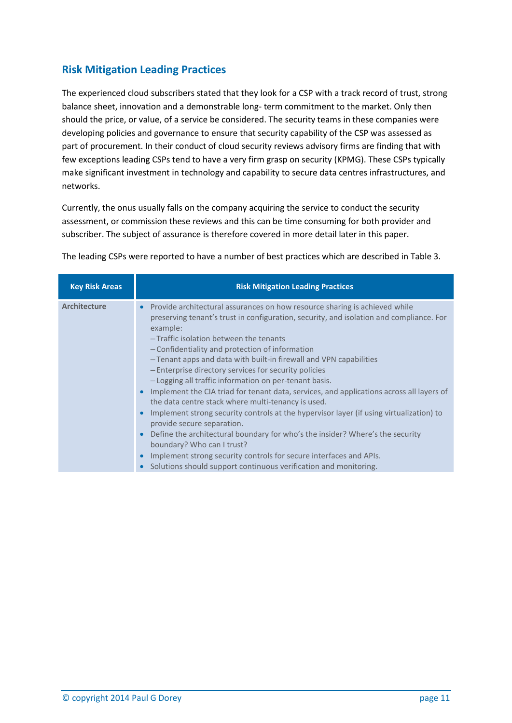# <span id="page-11-0"></span>**Risk Mitigation Leading Practices**

The experienced cloud subscribers stated that they look for a CSP with a track record of trust, strong balance sheet, innovation and a demonstrable long- term commitment to the market. Only then should the price, or value, of a service be considered. The security teams in these companies were developing policies and governance to ensure that security capability of the CSP was assessed as part of procurement. In their conduct of cloud security reviews advisory firms are finding that with few exceptions leading CSPs tend to have a very firm grasp on security (KPMG). These CSPs typically make significant investment in technology and capability to secure data centres infrastructures, and networks.

Currently, the onus usually falls on the company acquiring the service to conduct the security assessment, or commission these reviews and this can be time consuming for both provider and subscriber. The subject of assurance is therefore covered in more detail later in this paper.

| <b>Key Risk Areas</b> | <b>Risk Mitigation Leading Practices</b>                                                                                                                                                                                                                                                                                                                                                                                                                                                                                                                                                                                                                                                                                                                                                                                                                                                                                                                                                                                                          |
|-----------------------|---------------------------------------------------------------------------------------------------------------------------------------------------------------------------------------------------------------------------------------------------------------------------------------------------------------------------------------------------------------------------------------------------------------------------------------------------------------------------------------------------------------------------------------------------------------------------------------------------------------------------------------------------------------------------------------------------------------------------------------------------------------------------------------------------------------------------------------------------------------------------------------------------------------------------------------------------------------------------------------------------------------------------------------------------|
| <b>Architecture</b>   | Provide architectural assurances on how resource sharing is achieved while<br>$\bullet$<br>preserving tenant's trust in configuration, security, and isolation and compliance. For<br>example:<br>-Traffic isolation between the tenants<br>- Confidentiality and protection of information<br>-Tenant apps and data with built-in firewall and VPN capabilities<br>- Enterprise directory services for security policies<br>- Logging all traffic information on per-tenant basis.<br>Implement the CIA triad for tenant data, services, and applications across all layers of<br>the data centre stack where multi-tenancy is used.<br>Implement strong security controls at the hypervisor layer (if using virtualization) to<br>provide secure separation.<br>Define the architectural boundary for who's the insider? Where's the security<br>$\bullet$<br>boundary? Who can I trust?<br>Implement strong security controls for secure interfaces and APIs.<br>$\bullet$<br>Solutions should support continuous verification and monitoring. |

The leading CSPs were reported to have a number of best practices which are described in Table 3.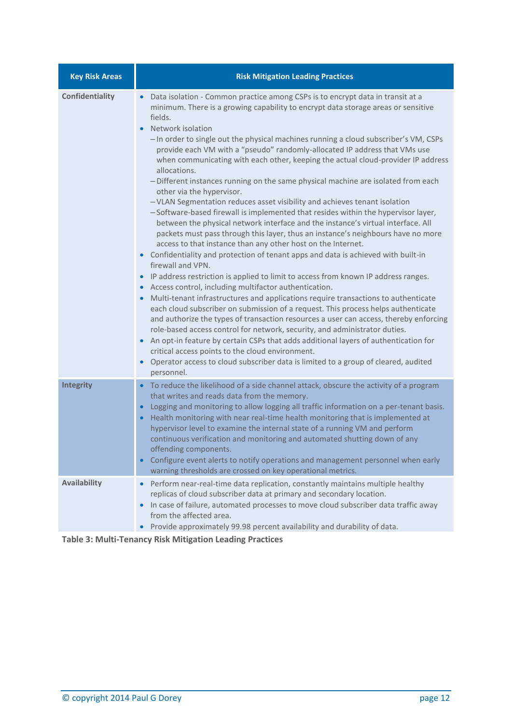| <b>Key Risk Areas</b>  | <b>Risk Mitigation Leading Practices</b>                                                                                                                                                                                                                                                                                                                                                                                                                                                                                                                                                                                                                                                                                                                                                                                                                                                                                                                                                                                                                                                                                                                                                                                                                                                                                                                                                                                                                                                                                                                                                                                                                                                                                                                                                                                                                                                                                                          |  |  |  |  |
|------------------------|---------------------------------------------------------------------------------------------------------------------------------------------------------------------------------------------------------------------------------------------------------------------------------------------------------------------------------------------------------------------------------------------------------------------------------------------------------------------------------------------------------------------------------------------------------------------------------------------------------------------------------------------------------------------------------------------------------------------------------------------------------------------------------------------------------------------------------------------------------------------------------------------------------------------------------------------------------------------------------------------------------------------------------------------------------------------------------------------------------------------------------------------------------------------------------------------------------------------------------------------------------------------------------------------------------------------------------------------------------------------------------------------------------------------------------------------------------------------------------------------------------------------------------------------------------------------------------------------------------------------------------------------------------------------------------------------------------------------------------------------------------------------------------------------------------------------------------------------------------------------------------------------------------------------------------------------------|--|--|--|--|
| <b>Confidentiality</b> | Data isolation - Common practice among CSPs is to encrypt data in transit at a<br>$\bullet$<br>minimum. There is a growing capability to encrypt data storage areas or sensitive<br>fields.<br>Network isolation<br>- In order to single out the physical machines running a cloud subscriber's VM, CSPs<br>provide each VM with a "pseudo" randomly-allocated IP address that VMs use<br>when communicating with each other, keeping the actual cloud-provider IP address<br>allocations.<br>- Different instances running on the same physical machine are isolated from each<br>other via the hypervisor.<br>- VLAN Segmentation reduces asset visibility and achieves tenant isolation<br>-Software-based firewall is implemented that resides within the hypervisor layer,<br>between the physical network interface and the instance's virtual interface. All<br>packets must pass through this layer, thus an instance's neighbours have no more<br>access to that instance than any other host on the Internet.<br>Confidentiality and protection of tenant apps and data is achieved with built-in<br>$\bullet$<br>firewall and VPN.<br>IP address restriction is applied to limit to access from known IP address ranges.<br>$\bullet$<br>Access control, including multifactor authentication.<br>$\bullet$<br>Multi-tenant infrastructures and applications require transactions to authenticate<br>$\bullet$<br>each cloud subscriber on submission of a request. This process helps authenticate<br>and authorize the types of transaction resources a user can access, thereby enforcing<br>role-based access control for network, security, and administrator duties.<br>An opt-in feature by certain CSPs that adds additional layers of authentication for<br>critical access points to the cloud environment.<br>Operator access to cloud subscriber data is limited to a group of cleared, audited<br>$\bullet$<br>personnel. |  |  |  |  |
| <b>Integrity</b>       | To reduce the likelihood of a side channel attack, obscure the activity of a program<br>$\bullet$<br>that writes and reads data from the memory.<br>Logging and monitoring to allow logging all traffic information on a per-tenant basis.<br>$\bullet$<br>Health monitoring with near real-time health monitoring that is implemented at<br>$\bullet$<br>hypervisor level to examine the internal state of a running VM and perform<br>continuous verification and monitoring and automated shutting down of any<br>offending components.<br>Configure event alerts to notify operations and management personnel when early<br>$\bullet$<br>warning thresholds are crossed on key operational metrics.                                                                                                                                                                                                                                                                                                                                                                                                                                                                                                                                                                                                                                                                                                                                                                                                                                                                                                                                                                                                                                                                                                                                                                                                                                          |  |  |  |  |
| Availability           | Perform near-real-time data replication, constantly maintains multiple healthy<br>$\bullet$<br>replicas of cloud subscriber data at primary and secondary location.<br>In case of failure, automated processes to move cloud subscriber data traffic away<br>from the affected area.<br>Provide approximately 99.98 percent availability and durability of data.                                                                                                                                                                                                                                                                                                                                                                                                                                                                                                                                                                                                                                                                                                                                                                                                                                                                                                                                                                                                                                                                                                                                                                                                                                                                                                                                                                                                                                                                                                                                                                                  |  |  |  |  |

<span id="page-12-0"></span>**Table 3: Multi-Tenancy Risk Mitigation Leading Practices**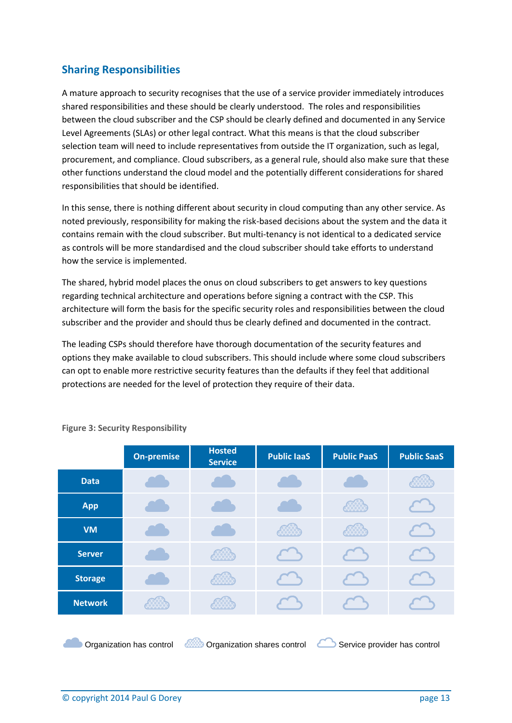# <span id="page-13-0"></span>**Sharing Responsibilities**

A mature approach to security recognises that the use of a service provider immediately introduces shared responsibilities and these should be clearly understood. The roles and responsibilities between the cloud subscriber and the CSP should be clearly defined and documented in any Service Level Agreements (SLAs) or other legal contract. What this means is that the cloud subscriber selection team will need to include representatives from outside the IT organization, such as legal, procurement, and compliance. Cloud subscribers, as a general rule, should also make sure that these other functions understand the cloud model and the potentially different considerations for shared responsibilities that should be identified.

In this sense, there is nothing different about security in cloud computing than any other service. As noted previously, responsibility for making the risk-based decisions about the system and the data it contains remain with the cloud subscriber. But multi-tenancy is not identical to a dedicated service as controls will be more standardised and the cloud subscriber should take efforts to understand how the service is implemented.

The shared, hybrid model places the onus on cloud subscribers to get answers to key questions regarding technical architecture and operations before signing a contract with the CSP. This architecture will form the basis for the specific security roles and responsibilities between the cloud subscriber and the provider and should thus be clearly defined and documented in the contract.

The leading CSPs should therefore have thorough documentation of the security features and options they make available to cloud subscribers. This should include where some cloud subscribers can opt to enable more restrictive security features than the defaults if they feel that additional protections are needed for the level of protection they require of their data.

|                                                                                                  | <b>On-premise</b> | <b>Hosted</b><br><b>Service</b> | <b>Public laaS</b> | <b>Public PaaS</b> | <b>Public SaaS</b> |
|--------------------------------------------------------------------------------------------------|-------------------|---------------------------------|--------------------|--------------------|--------------------|
| <b>Data</b>                                                                                      |                   |                                 |                    |                    |                    |
| App                                                                                              |                   |                                 |                    | ₩X                 |                    |
| <b>VM</b>                                                                                        |                   |                                 | 8888               | 8888               |                    |
| <b>Server</b>                                                                                    |                   |                                 |                    |                    |                    |
| <b>Storage</b>                                                                                   |                   | 8888                            |                    |                    |                    |
| <b>Network</b>                                                                                   |                   |                                 |                    |                    |                    |
| Organization has control<br>Organization shares control<br>Service provider has control<br>xxxxx |                   |                                 |                    |                    |                    |

#### <span id="page-13-1"></span>**Figure 3: Security Responsibility**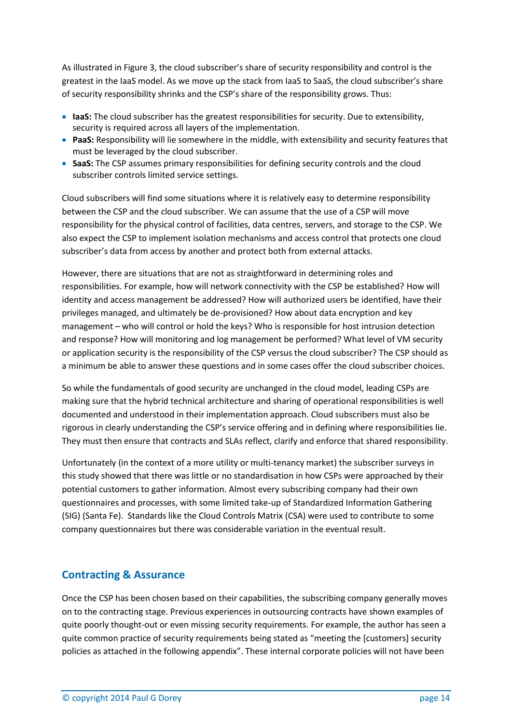As illustrated in Figure 3, the cloud subscriber's share of security responsibility and control is the greatest in the IaaS model. As we move up the stack from IaaS to SaaS, the cloud subscriber's share of security responsibility shrinks and the CSP's share of the responsibility grows. Thus:

- **IaaS:** The cloud subscriber has the greatest responsibilities for security. Due to extensibility, security is required across all layers of the implementation.
- **PaaS:** Responsibility will lie somewhere in the middle, with extensibility and security features that must be leveraged by the cloud subscriber.
- **SaaS:** The CSP assumes primary responsibilities for defining security controls and the cloud subscriber controls limited service settings.

Cloud subscribers will find some situations where it is relatively easy to determine responsibility between the CSP and the cloud subscriber. We can assume that the use of a CSP will move responsibility for the physical control of facilities, data centres, servers, and storage to the CSP. We also expect the CSP to implement isolation mechanisms and access control that protects one cloud subscriber's data from access by another and protect both from external attacks.

However, there are situations that are not as straightforward in determining roles and responsibilities. For example, how will network connectivity with the CSP be established? How will identity and access management be addressed? How will authorized users be identified, have their privileges managed, and ultimately be de-provisioned? How about data encryption and key management – who will control or hold the keys? Who is responsible for host intrusion detection and response? How will monitoring and log management be performed? What level of VM security or application security is the responsibility of the CSP versus the cloud subscriber? The CSP should as a minimum be able to answer these questions and in some cases offer the cloud subscriber choices.

So while the fundamentals of good security are unchanged in the cloud model, leading CSPs are making sure that the hybrid technical architecture and sharing of operational responsibilities is well documented and understood in their implementation approach. Cloud subscribers must also be rigorous in clearly understanding the CSP's service offering and in defining where responsibilities lie. They must then ensure that contracts and SLAs reflect, clarify and enforce that shared responsibility.

Unfortunately (in the context of a more utility or multi-tenancy market) the subscriber surveys in this study showed that there was little or no standardisation in how CSPs were approached by their potential customers to gather information. Almost every subscribing company had their own questionnaires and processes, with some limited take-up of Standardized Information Gathering (SIG) (Santa Fe). Standards like the Cloud Controls Matrix (CSA) were used to contribute to some company questionnaires but there was considerable variation in the eventual result.

#### <span id="page-14-0"></span>**Contracting & Assurance**

Once the CSP has been chosen based on their capabilities, the subscribing company generally moves on to the contracting stage. Previous experiences in outsourcing contracts have shown examples of quite poorly thought-out or even missing security requirements. For example, the author has seen a quite common practice of security requirements being stated as "meeting the [customers] security policies as attached in the following appendix". These internal corporate policies will not have been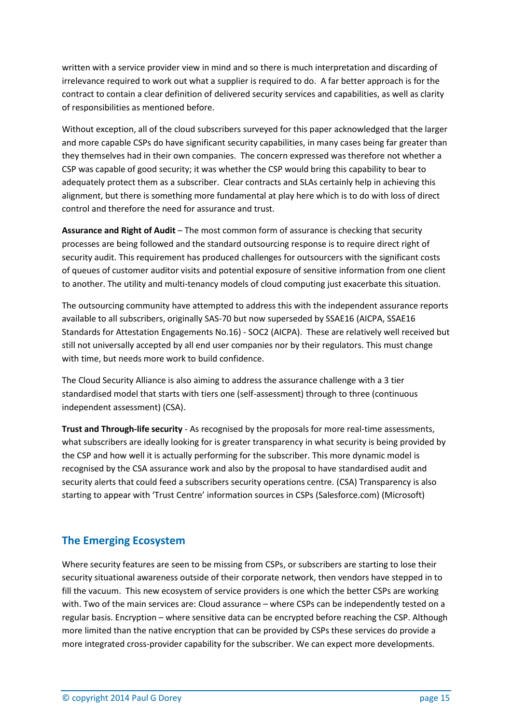written with a service provider view in mind and so there is much interpretation and discarding of irrelevance required to work out what a supplier is required to do. A far better approach is for the contract to contain a clear definition of delivered security services and capabilities, as well as clarity of responsibilities as mentioned before.

Without exception, all of the cloud subscribers surveyed for this paper acknowledged that the larger and more capable CSPs do have significant security capabilities, in many cases being far greater than they themselves had in their own companies. The concern expressed was therefore not whether a CSP was capable of good security; it was whether the CSP would bring this capability to bear to adequately protect them as a subscriber. Clear contracts and SLAs certainly help in achieving this alignment, but there is something more fundamental at play here which is to do with loss of direct control and therefore the need for assurance and trust.

**Assurance and Right of Audit** – The most common form of assurance is checking that security processes are being followed and the standard outsourcing response is to require direct right of security audit. This requirement has produced challenges for outsourcers with the significant costs of queues of customer auditor visits and potential exposure of sensitive information from one client to another. The utility and multi-tenancy models of cloud computing just exacerbate this situation.

The outsourcing community have attempted to address this with the independent assurance reports available to all subscribers, originally SAS-70 but now superseded by SSAE16 (AICPA, SSAE16 Standards for Attestation Engagements No.16) - SOC2 (AICPA). These are relatively well received but still not universally accepted by all end user companies nor by their regulators. This must change with time, but needs more work to build confidence.

The Cloud Security Alliance is also aiming to address the assurance challenge with a 3 tier standardised model that starts with tiers one (self-assessment) through to three (continuous independent assessment) (CSA).

**Trust and Through-life security** - As recognised by the proposals for more real-time assessments, what subscribers are ideally looking for is greater transparency in what security is being provided by the CSP and how well it is actually performing for the subscriber. This more dynamic model is recognised by the CSA assurance work and also by the proposal to have standardised audit and security alerts that could feed a subscribers security operations centre. (CSA) Transparency is also starting to appear with 'Trust Centre' information sources in CSPs (Salesforce.com) (Microsoft)

# <span id="page-15-0"></span>**The Emerging Ecosystem**

Where security features are seen to be missing from CSPs, or subscribers are starting to lose their security situational awareness outside of their corporate network, then vendors have stepped in to fill the vacuum. This new ecosystem of service providers is one which the better CSPs are working with. Two of the main services are: Cloud assurance – where CSPs can be independently tested on a regular basis. Encryption – where sensitive data can be encrypted before reaching the CSP. Although more limited than the native encryption that can be provided by CSPs these services do provide a more integrated cross-provider capability for the subscriber. We can expect more developments.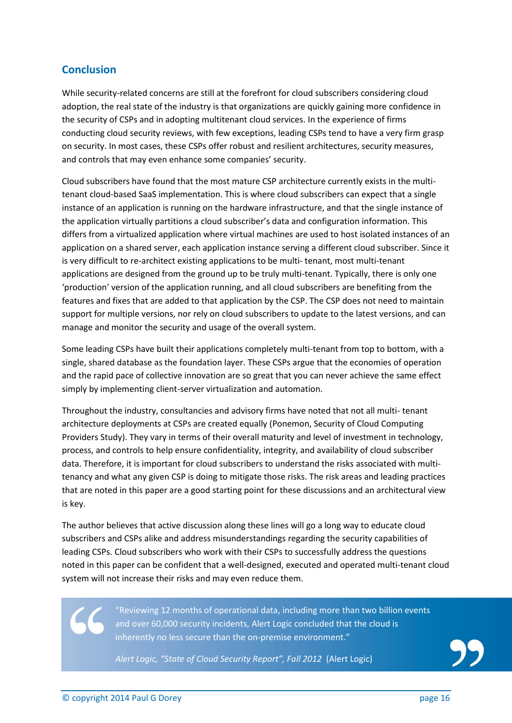## <span id="page-16-0"></span>**Conclusion**

While security-related concerns are still at the forefront for cloud subscribers considering cloud adoption, the real state of the industry is that organizations are quickly gaining more confidence in the security of CSPs and in adopting multitenant cloud services. In the experience of firms conducting cloud security reviews, with few exceptions, leading CSPs tend to have a very firm grasp on security. In most cases, these CSPs offer robust and resilient architectures, security measures, and controls that may even enhance some companies' security.

Cloud subscribers have found that the most mature CSP architecture currently exists in the multitenant cloud-based SaaS implementation. This is where cloud subscribers can expect that a single instance of an application is running on the hardware infrastructure, and that the single instance of the application virtually partitions a cloud subscriber's data and configuration information. This differs from a virtualized application where virtual machines are used to host isolated instances of an application on a shared server, each application instance serving a different cloud subscriber. Since it is very difficult to re-architect existing applications to be multi- tenant, most multi-tenant applications are designed from the ground up to be truly multi-tenant. Typically, there is only one 'production' version of the application running, and all cloud subscribers are benefiting from the features and fixes that are added to that application by the CSP. The CSP does not need to maintain support for multiple versions, nor rely on cloud subscribers to update to the latest versions, and can manage and monitor the security and usage of the overall system.

Some leading CSPs have built their applications completely multi-tenant from top to bottom, with a single, shared database as the foundation layer. These CSPs argue that the economies of operation and the rapid pace of collective innovation are so great that you can never achieve the same effect simply by implementing client-server virtualization and automation.

Throughout the industry, consultancies and advisory firms have noted that not all multi- tenant architecture deployments at CSPs are created equally (Ponemon, Security of Cloud Computing Providers Study). They vary in terms of their overall maturity and level of investment in technology, process, and controls to help ensure confidentiality, integrity, and availability of cloud subscriber data. Therefore, it is important for cloud subscribers to understand the risks associated with multitenancy and what any given CSP is doing to mitigate those risks. The risk areas and leading practices that are noted in this paper are a good starting point for these discussions and an architectural view is key.

The author believes that active discussion along these lines will go a long way to educate cloud subscribers and CSPs alike and address misunderstandings regarding the security capabilities of leading CSPs. Cloud subscribers who work with their CSPs to successfully address the questions noted in this paper can be confident that a well-designed, executed and operated multi-tenant cloud system will not increase their risks and may even reduce them.

> "Reviewing 12 months of operational data, including more than two billion events and over 60,000 security incidents, Alert Logic concluded that the cloud is inherently no less secure than the on-premise environment."

*Alert Logic, "State of Cloud Security Report", Fall 2012* (Alert Logic)

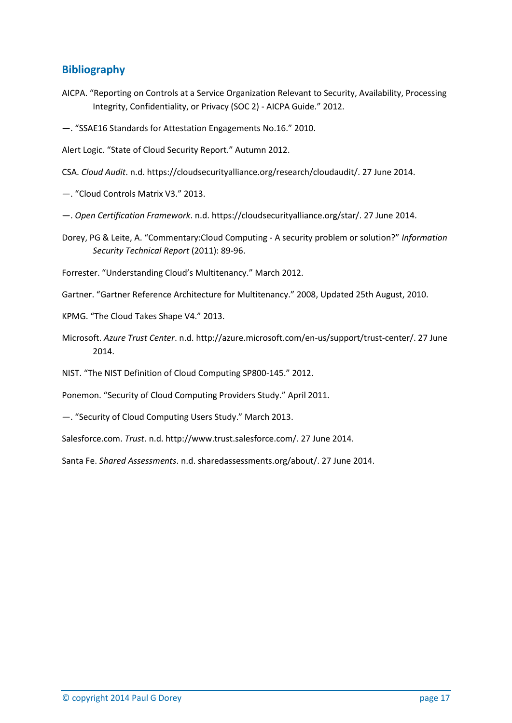## <span id="page-17-0"></span>**Bibliography**

- AICPA. "Reporting on Controls at a Service Organization Relevant to Security, Availability, Processing Integrity, Confidentiality, or Privacy (SOC 2) - AICPA Guide." 2012.
- —. "SSAE16 Standards for Attestation Engagements No.16." 2010.
- Alert Logic. "State of Cloud Security Report." Autumn 2012.
- CSA. *Cloud Audit*. n.d. https://cloudsecurityalliance.org/research/cloudaudit/. 27 June 2014.
- —. "Cloud Controls Matrix V3." 2013.
- —. *Open Certification Framework*. n.d. https://cloudsecurityalliance.org/star/. 27 June 2014.
- Dorey, PG & Leite, A. "Commentary:Cloud Computing A security problem or solution?" *Information Security Technical Report* (2011): 89-96.
- Forrester. "Understanding Cloud's Multitenancy." March 2012.
- Gartner. "Gartner Reference Architecture for Multitenancy." 2008, Updated 25th August, 2010.
- KPMG. "The Cloud Takes Shape V4." 2013.
- Microsoft. *Azure Trust Center*. n.d. http://azure.microsoft.com/en-us/support/trust-center/. 27 June 2014.
- NIST. "The NIST Definition of Cloud Computing SP800-145." 2012.
- Ponemon. "Security of Cloud Computing Providers Study." April 2011.
- —. "Security of Cloud Computing Users Study." March 2013.
- Salesforce.com. *Trust*. n.d. http://www.trust.salesforce.com/. 27 June 2014.
- Santa Fe. *Shared Assessments*. n.d. sharedassessments.org/about/. 27 June 2014.